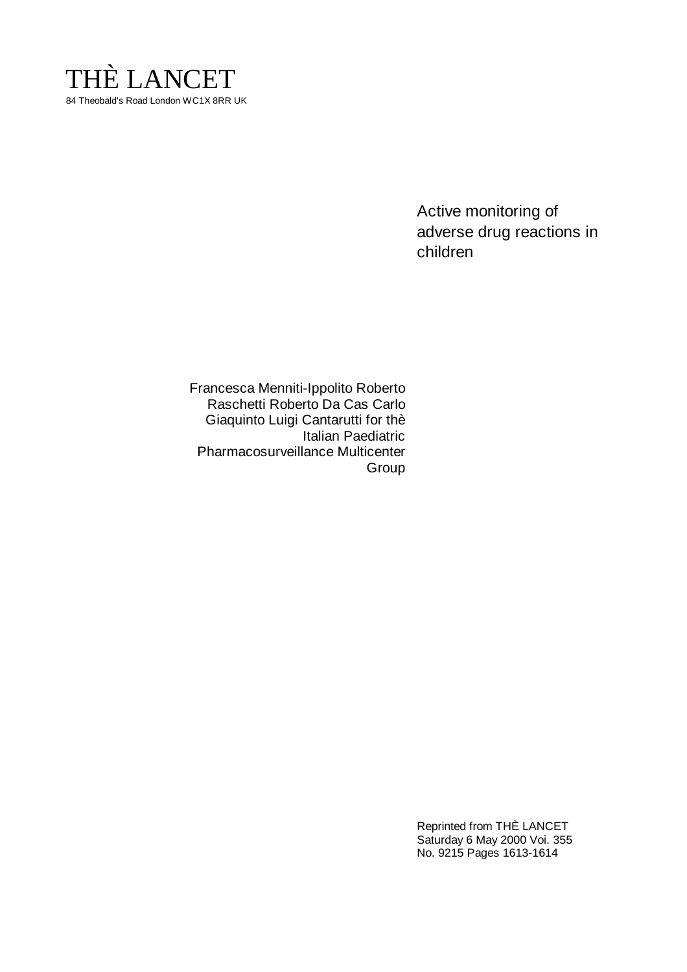

Active monitoring of adverse drug reactions in children

Francesca Menniti-Ippolito Roberto Raschetti Roberto Da Cas Carlo Giaquinto Luigi Cantarutti for thè Italian Paediatric Pharmacosurveillance Multicenter Group

> Reprinted from THÈ LANCET Saturday 6 May 2000 Voi. 355 No. 9215 Pages 1613-1614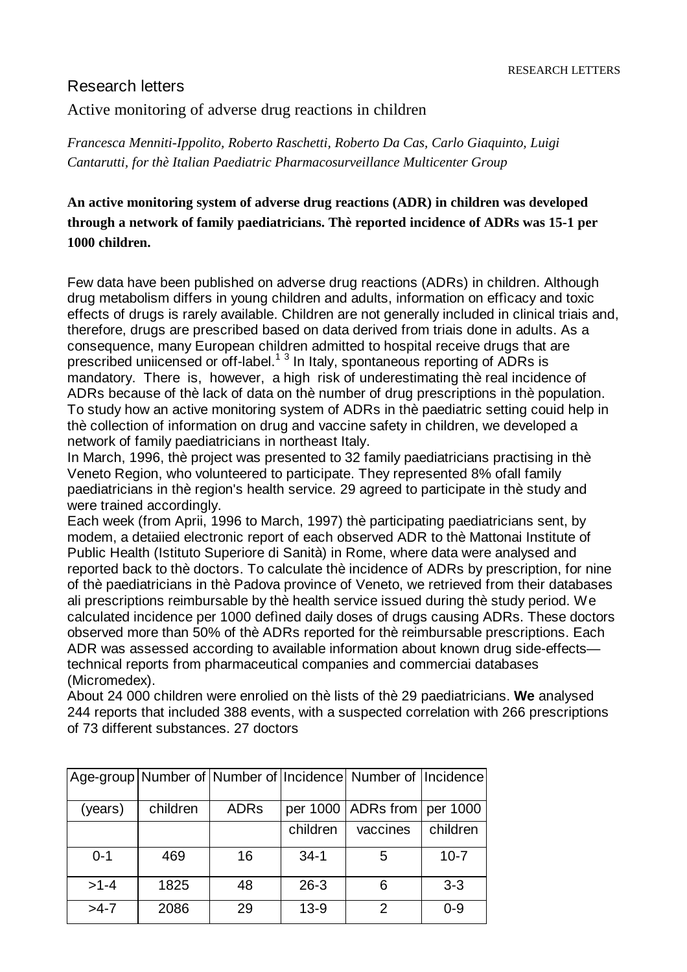## Research letters

Active monitoring of adverse drug reactions in children

*Francesca Menniti-Ippolito, Roberto Raschetti, Roberto Da Cas, Carlo Giaquinto, Luigi Cantarutti, for thè Italian Paediatric Pharmacosurveillance Multicenter Group*

**An active monitoring system of adverse drug reactions (ADR) in children was developed through a network of family paediatricians. Thè reported incidence of ADRs was 15-1 per 1000 children.**

Few data have been published on adverse drug reactions (ADRs) in children. Although drug metabolism differs in young children and adults, information on effìcacy and toxic effects of drugs is rarely available. Children are not generally included in clinical triais and, therefore, drugs are prescribed based on data derived from triais done in adults. As a consequence, many European children admitted to hospital receive drugs that are prescribed uniicensed or off-label. $1^3$  In Italy, spontaneous reporting of ADRs is mandatory. There is, however, a high risk of underestimating thè real incidence of ADRs because of thè lack of data on thè number of drug prescriptions in thè population. To study how an active monitoring system of ADRs in thè paediatric setting couid help in thè collection of information on drug and vaccine safety in children, we developed a network of family paediatricians in northeast Italy.

In March, 1996, thè project was presented to 32 family paediatricians practising in thè Veneto Region, who volunteered to participate. They represented 8% ofall family paediatricians in thè region's health service. 29 agreed to participate in thè study and were trained accordingly.

Each week (from Aprii, 1996 to March, 1997) thè participating paediatricians sent, by modem, a detaiied electronic report of each observed ADR to thè Mattonai Institute of Public Health (Istituto Superiore di Sanità) in Rome, where data were analysed and reported back to thè doctors. To calculate thè incidence of ADRs by prescription, for nine of thè paediatricians in thè Padova province of Veneto, we retrieved from their databases ali prescriptions reimbursable by thè health service issued during thè study period. We calculated incidence per 1000 defìned daily doses of drugs causing ADRs. These doctors observed more than 50% of thè ADRs reported for thè reimbursable prescriptions. Each ADR was assessed according to available information about known drug side-effects technical reports from pharmaceutical companies and commerciai databases (Micromedex).

About 24 000 children were enrolied on thè lists of thè 29 paediatricians. **We** analysed 244 reports that included 388 events, with a suspected correlation with 266 prescriptions of 73 different substances. 27 doctors

|         |          |             |          | Age-group Number of Number of Incidence Number of Incidence |          |
|---------|----------|-------------|----------|-------------------------------------------------------------|----------|
|         |          |             |          |                                                             |          |
| (years) | children | <b>ADRs</b> |          | per 1000   ADRs from   per 1000                             |          |
|         |          |             | children | vaccines                                                    | children |
| $0 - 1$ | 469      | 16          | $34-1$   | 5                                                           | $10 - 7$ |
| $>1-4$  | 1825     | 48          | $26 - 3$ | 6                                                           | $3 - 3$  |
| $>4-7$  | 2086     | 29          | $13 - 9$ | $\mathcal{P}$                                               | $0 - 9$  |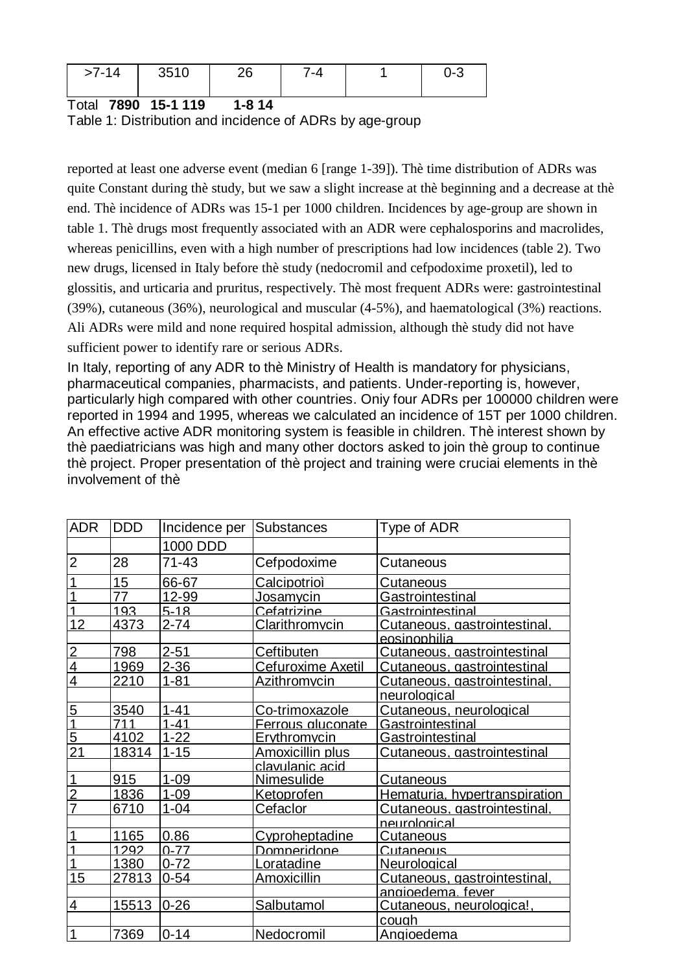| <u>т</u> А<br>>7-14 | 3510 | 、<br>∸ບ | ′-4 |  |  |
|---------------------|------|---------|-----|--|--|
|---------------------|------|---------|-----|--|--|

Total **7890 15-1 119 1-8 14**

Table 1: Distribution and incidence of ADRs by age-group

reported at least one adverse event (median 6 [range 1-39]). Thè time distribution of ADRs was quite Constant during thè study, but we saw a slight increase at thè beginning and a decrease at thè end. Thè incidence of ADRs was 15-1 per 1000 children. Incidences by age-group are shown in table 1. Thè drugs most frequently associated with an ADR were cephalosporins and macrolides, whereas penicillins, even with a high number of prescriptions had low incidences (table 2). Two new drugs, licensed in Italy before thè study (nedocromil and cefpodoxime proxetil), led to glossitis, and urticaria and pruritus, respectively. Thè most frequent ADRs were: gastrointestinal (39%), cutaneous (36%), neurological and muscular (4-5%), and haematological (3%) reactions. Ali ADRs were mild and none required hospital admission, although thè study did not have sufficient power to identify rare or serious ADRs.

In Italy, reporting of any ADR to thè Ministry of Health is mandatory for physicians, pharmaceutical companies, pharmacists, and patients. Under-reporting is, however, particularly high compared with other countries. Oniy four ADRs per 100000 children were reported in 1994 and 1995, whereas we calculated an incidence of 15T per 1000 children. An effective active ADR monitoring system is feasible in children. Thè interest shown by thè paediatricians was high and many other doctors asked to join thè group to continue thè project. Proper presentation of thè project and training were cruciai elements in thè involvement of thè

| <b>ADR</b>      | <b>DDD</b> | Incidence per | Substances          | Type of ADR                     |
|-----------------|------------|---------------|---------------------|---------------------------------|
|                 |            | 1000 DDD      |                     |                                 |
| $\overline{2}$  | 28         | 71-43         | Cefpodoxime         | Cutaneous                       |
|                 | 15         | 66-67         | Calcipotrioì        | Cu <u>taneous</u>               |
|                 | 77         | 12-99         | Jo <u>samycin</u>   | Gas <u>trointestinal</u>        |
|                 | 193        | $5-18$        | Cefatrizine         | Gastrointestinal                |
| 12              | 4373       | $2 - 74$      | Clarithromycin      | Cutaneous, gastrointestinal,    |
|                 |            |               |                     | <u>eosinophilia</u>             |
| $\overline{2}$  | 798        | $2 - 51$      | Ceftibuten          | Cutaneous, gastrointestinal     |
| $\overline{4}$  | 1969       | $2 - 36$      | Cefuroxime Axetil   | Cutaneous, gastrointestinal     |
| 4               | 2210       | $1 - 81$      | <b>Azithromycin</b> | Cutaneous. aastrointestinal.    |
|                 |            |               |                     | neurological                    |
| 5               | 3540       | $1 - 41$      | Co-trimoxazole      | Cutaneous, neurological         |
| 1               | 711        | $1 - 41$      | Ferrous aluconate   | Gastrointestinal                |
| $\overline{5}$  | 4102       | $1 - 22$      | <b>Ervthromvcin</b> | Gastrointestinal                |
| $\overline{21}$ | 18314      | $1 - 15$      | Amoxicillin plus    | Cutaneous. aastrointestinal     |
|                 |            |               | clavulanic acid     |                                 |
|                 | 915        | $1 - 09$      | <b>Nimesulide</b>   | <u>Cutaneous</u>                |
| $\overline{2}$  | 1836       | $1 - 09$      | Ketoprofen          | Hematuria, hypertranspiration   |
| 7               | 6710       | $1 - 04$      | Cefaclor            | Cutaneous, gastrointestinal,    |
|                 |            |               |                     | heurological                    |
|                 | 1165       | 0.86          | Cvproheptadine      | Cutaneous                       |
|                 | 1292       | $0 - 77$      | Domneridone         | Cutaneous                       |
|                 | 1380       | $0 - 72$      | <u>Loratadine</u>   | <b>Neurological</b>             |
| 15              | 27813      | $0 - 54$      | Amoxicillin         | Cutaneous, gastrointestinal,    |
|                 |            |               |                     | <u>angioedema fever</u>         |
| $\overline{4}$  | 15513      | $0 - 26$      | Salbutamol          | <u>Cutaneous, neurologica!,</u> |
|                 |            |               |                     | cough                           |
| 1               | 7369       | $0 - 14$      | Nedocromil          | Angioedema                      |